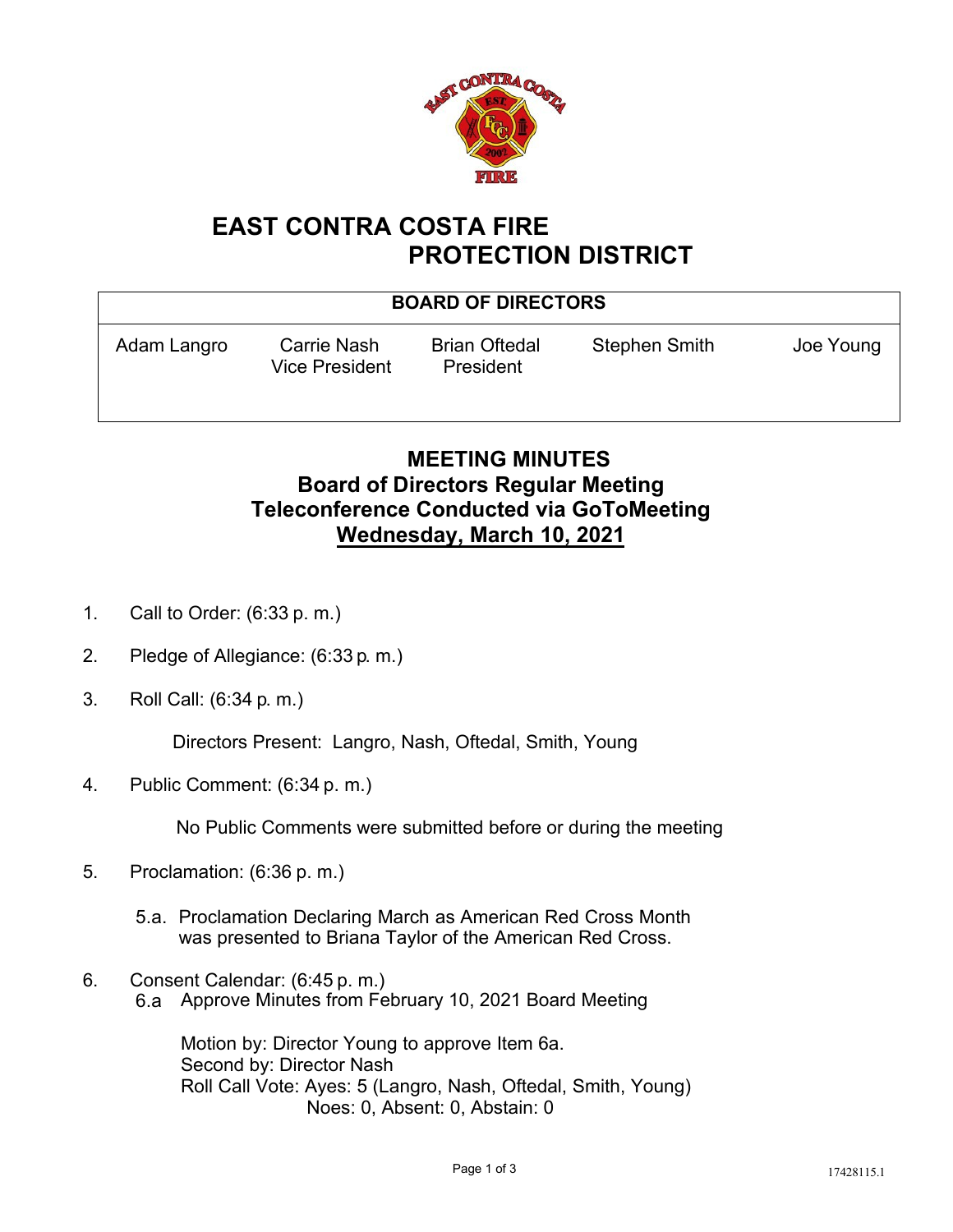

## **EAST CONTRA COSTA FIRE PROTECTION DISTRICT**

| <b>BOARD OF DIRECTORS</b> |                                      |                                   |                      |           |
|---------------------------|--------------------------------------|-----------------------------------|----------------------|-----------|
| Adam Langro               | Carrie Nash<br><b>Vice President</b> | <b>Brian Oftedal</b><br>President | <b>Stephen Smith</b> | Joe Young |

## **MEETING MINUTES Board of Directors Regular Meeting Teleconference Conducted via GoToMeeting Wednesday, March 10, 2021**

- 1. Call to Order: (6:33 p. m.)
- 2. Pledge of Allegiance: (6:33 p. m.)
- 3. Roll Call: (6:34 p. m.)

Directors Present: Langro, Nash, Oftedal, Smith, Young

4. Public Comment: (6:34 p. m.)

No Public Comments were submitted before or during the meeting

- 5. Proclamation: (6:36 p. m.)
	- 5.a. Proclamation Declaring March as American Red Cross Month was presented to Briana Taylor of the American Red Cross.
- 6. Consent Calendar: (6:45 p. m.) 6.a Approve Minutes from February 10, 2021 Board Meeting

Motion by: Director Young to approve Item 6a. Second by: Director Nash Roll Call Vote: Ayes: 5 (Langro, Nash, Oftedal, Smith, Young)

Noes: 0, Absent: 0, Abstain: 0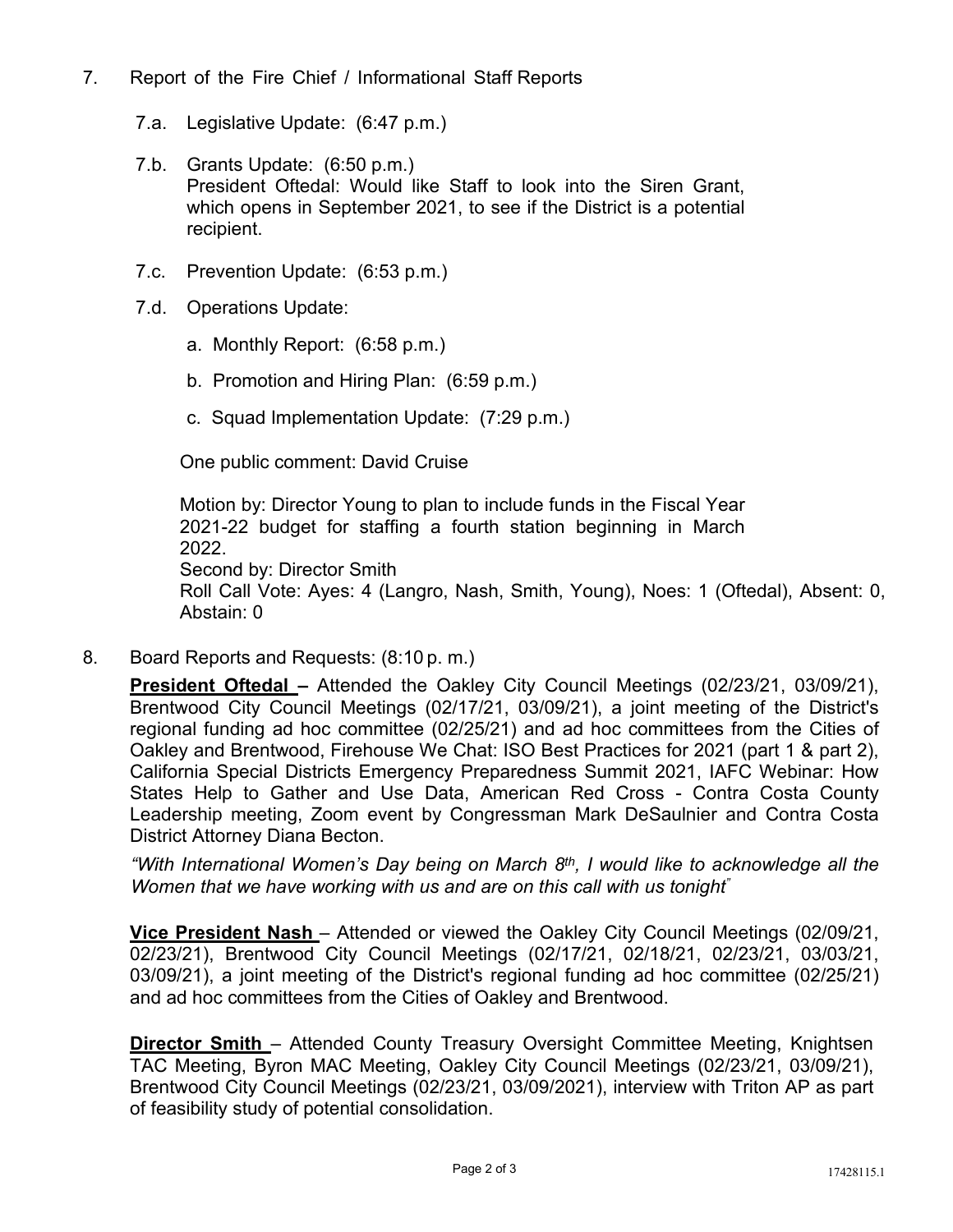- 7. Report of the Fire Chief / Informational Staff Reports
	- 7.a. Legislative Update: (6:47 p.m.)
	- 7.b. Grants Update: (6:50 p.m.) President Oftedal: Would like Staff to look into the Siren Grant, which opens in September 2021, to see if the District is a potential recipient.
	- 7.c. Prevention Update: (6:53 p.m.)
	- 7.d. Operations Update:
		- a. Monthly Report: (6:58 p.m.)
		- b. Promotion and Hiring Plan: (6:59 p.m.)
		- c. Squad Implementation Update: (7:29 p.m.)

One public comment: David Cruise

Motion by: Director Young to plan to include funds in the Fiscal Year 2021-22 budget for staffing a fourth station beginning in March 2022. Second by: Director Smith Roll Call Vote: Ayes: 4 (Langro, Nash, Smith, Young), Noes: 1 (Oftedal), Absent: 0, Abstain: 0

8. Board Reports and Requests: (8:10 p. m.)

**President Oftedal –** Attended the Oakley City Council Meetings (02/23/21, 03/09/21), Brentwood City Council Meetings (02/17/21, 03/09/21), a joint meeting of the District's regional funding ad hoc committee (02/25/21) and ad hoc committees from the Cities of Oakley and Brentwood, Firehouse We Chat: ISO Best Practices for 2021 (part 1 & part 2), California Special Districts Emergency Preparedness Summit 2021, IAFC Webinar: How States Help to Gather and Use Data, American Red Cross - Contra Costa County Leadership meeting, Zoom event by Congressman Mark DeSaulnier and Contra Costa District Attorney Diana Becton.

*"With International Women's Day being on March 8th, I would like to acknowledge all the Women that we have working with us and are on this call with us tonight"*

**Vice President Nash** – Attended or viewed the Oakley City Council Meetings (02/09/21, 02/23/21), Brentwood City Council Meetings (02/17/21, 02/18/21, 02/23/21, 03/03/21, 03/09/21), a joint meeting of the District's regional funding ad hoc committee (02/25/21) and ad hoc committees from the Cities of Oakley and Brentwood.

**Director Smith** – Attended County Treasury Oversight Committee Meeting, Knightsen TAC Meeting, Byron MAC Meeting, Oakley City Council Meetings (02/23/21, 03/09/21), Brentwood City Council Meetings (02/23/21, 03/09/2021), interview with Triton AP as part of feasibility study of potential consolidation.